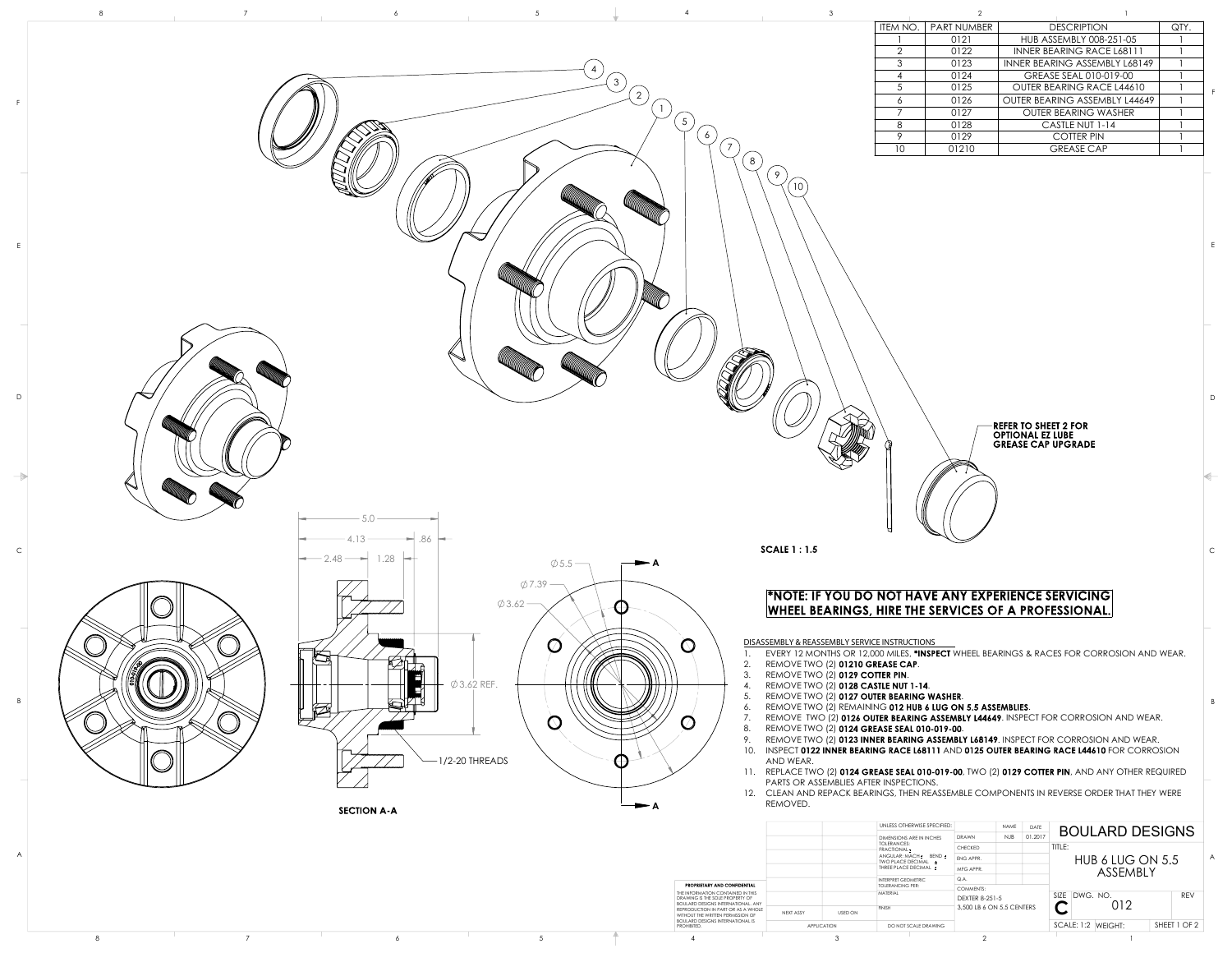7

8

## \*NOTE: IF YOU DO NOT HAVE ANY EXPERIENCE SERVICING **WHEEL BEARINGS, HIRE THE SERVICES OF A PROFESSIONAL.**

**DISASSEMBLY & REASSEMBLY SERVICE INSTRUCTIONS**

- 1. EVERY 12 MONTHS OR 12,000 MILES, \*INSPECT WHEEL BEARINGS & RACES FOR CORROSION AND WEAR.
- 2. REMOVE TWO (2) 01210 GREASE CAP.
- 3. REMOVE TWO (2) 0129 COTTER PIN.
- 4. REMOVE TWO (2) 0128 CASTLE NUT 1-14.
- 5. REMOVE TWO (2) 0127 OUTER BEARING WASHER.
- 6. REMOVE TWO (2) REMAINING 012 HUB 6 LUG ON 5.5 ASSEMBLIES.
- 7. REMOVE TWO (2) 0126 OUTER BEARING ASSEMBLY L44649. INSPECT FOR CORROSION AND WEAR.
- 8. REMOVE TWO (2) 0124 GREASE SEAL 010-019-00.
- 9. REMOVE TWO  $(2)$  0123 INNER BEARING ASSEMBLY L68149. INSPECT FOR CORROSION AND WEAR.
- 10. INSPECT 0122 INNER BEARING RACE L68111 AND 0125 OUTER BEARING RACE L44610 FOR CORROSION AND WEAR.
- 11. REPLACE TWO (2) 0124 GREASE SEAL 010-019-00, TWO (2) 0129 COTTER PIN, AND ANY OTHER REQUIRED PARTS OR ASSEMBLIES AFTER INSPECTIONS.
- 12. CLEAN AND REPACK BEARINGS, THEN REASSEMBLE COMPONENTS IN REVERSE ORDER THAT THEY WERE REMOVED.

| $\ensuremath{\mathsf{3}}$ |                          | $\mathbf{2}$ | $\mathbf{1}$                                                                        |                         |
|---------------------------|--------------------------|--------------|-------------------------------------------------------------------------------------|-------------------------|
|                           | ITEM NO.                 | PART NUMBER  | <b>DESCRIPTION</b>                                                                  | QTY.                    |
|                           |                          | 0121         | HUB ASSEMBLY 008-251-05                                                             |                         |
|                           | $\overline{2}$           | 0122         | <b>INNER BEARING RACE L68111</b>                                                    |                         |
|                           | $\mathfrak{S}$           | 0123         | INNER BEARING ASSEMBLY L68149                                                       | $\mathbf{1}$            |
|                           | $\overline{\mathcal{A}}$ | 0124         | GREASE SEAL 010-019-00                                                              |                         |
|                           | 5                        | 0125         | OUTER BEARING RACE L44610                                                           |                         |
|                           | $\boldsymbol{6}$         | 0126         | OUTER BEARING ASSEMBLY L44649                                                       | $\overline{\mathsf{I}}$ |
|                           | $\overline{7}$           | 0127         | <b>OUTER BEARING WASHER</b>                                                         |                         |
|                           | $\,8\,$                  | 0128         | CASTLE NUT 1-14                                                                     | $\mathbf{I}$            |
|                           | 9                        | 0129         | <b>COTTER PIN</b>                                                                   | 1                       |
|                           | 10                       | 01210        | <b>GREASE CAP</b>                                                                   | $\mathbf{1}$            |
| 9<br>10 <sup>°</sup>      |                          |              | <b>REFER TO SHEET 2 FOR</b><br><b>OPTIONAL EZ LUBE</b><br><b>GREASE CAP UPGRADE</b> |                         |



|  |                                                                              |                             | UNLESS OTHERWISE SPECIFIED:                 |                           | NAME DATE  | <b>BOULARD DESIGNS</b>                    |              |
|--|------------------------------------------------------------------------------|-----------------------------|---------------------------------------------|---------------------------|------------|-------------------------------------------|--------------|
|  |                                                                              |                             | <b>DIMENSIONS ARE IN INCHES</b>             | DRAWN                     | NJB 01.201 |                                           |              |
|  |                                                                              |                             | TOLERANCES:<br>FRACTIONAL <sup>+</sup>      | CHECKED                   |            | TITLE:                                    |              |
|  |                                                                              |                             | ANGULAR: MACH + BEND +<br>TWO PLACE DECIMAL | ENG APPR.                 |            | HUB 6 LUG ON 5.5                          | A.           |
|  |                                                                              |                             | THREE PLACE DECIMAL                         | MFG APPR.                 |            | ASSEMBLY                                  |              |
|  |                                                                              |                             | INTERPRET GEOMETRIC                         | Q.A.                      |            |                                           |              |
|  | PROPRIETARY AND CONFIDENTIAL<br>THE INFORMATION CONTAINED IN THIS            |                             | <b>TOLERANCING PER:</b><br>MATERIAL         | COMMENTS:                 |            |                                           |              |
|  | DRAWING IS THE SOLE PROPERTY OF<br><b>BOULARD DESIGNS INTERNATIONAL, ANY</b> |                             |                                             | <b>DEXTER 8-251-5</b>     |            | SIZE DWG. NO.<br>$\overline{\phantom{a}}$ | REV          |
|  | REPRODUCTION IN PART OR AS A WHOLE<br>WITHOUT THE WRITTEN PERMISSION OF      | <b>USED ON</b><br>NEXT ASSY | <b>FINISH</b>                               | 3,500 LB 6 ON 5.5 CENTERS |            | 012<br>◡                                  |              |
|  | <b>BOULARD DESIGNS INTERNATIONAL IS</b><br><b>PROHIBITED.</b>                | APPLICATION                 | DO NOT SCALE DRAWING                        |                           |            | SCALE: 1:2 WEIGHT:                        | SHEET 1 OF 2 |
|  |                                                                              |                             |                                             |                           |            |                                           |              |

D

C

B

**SCALE 1:1.5** 

A

E

F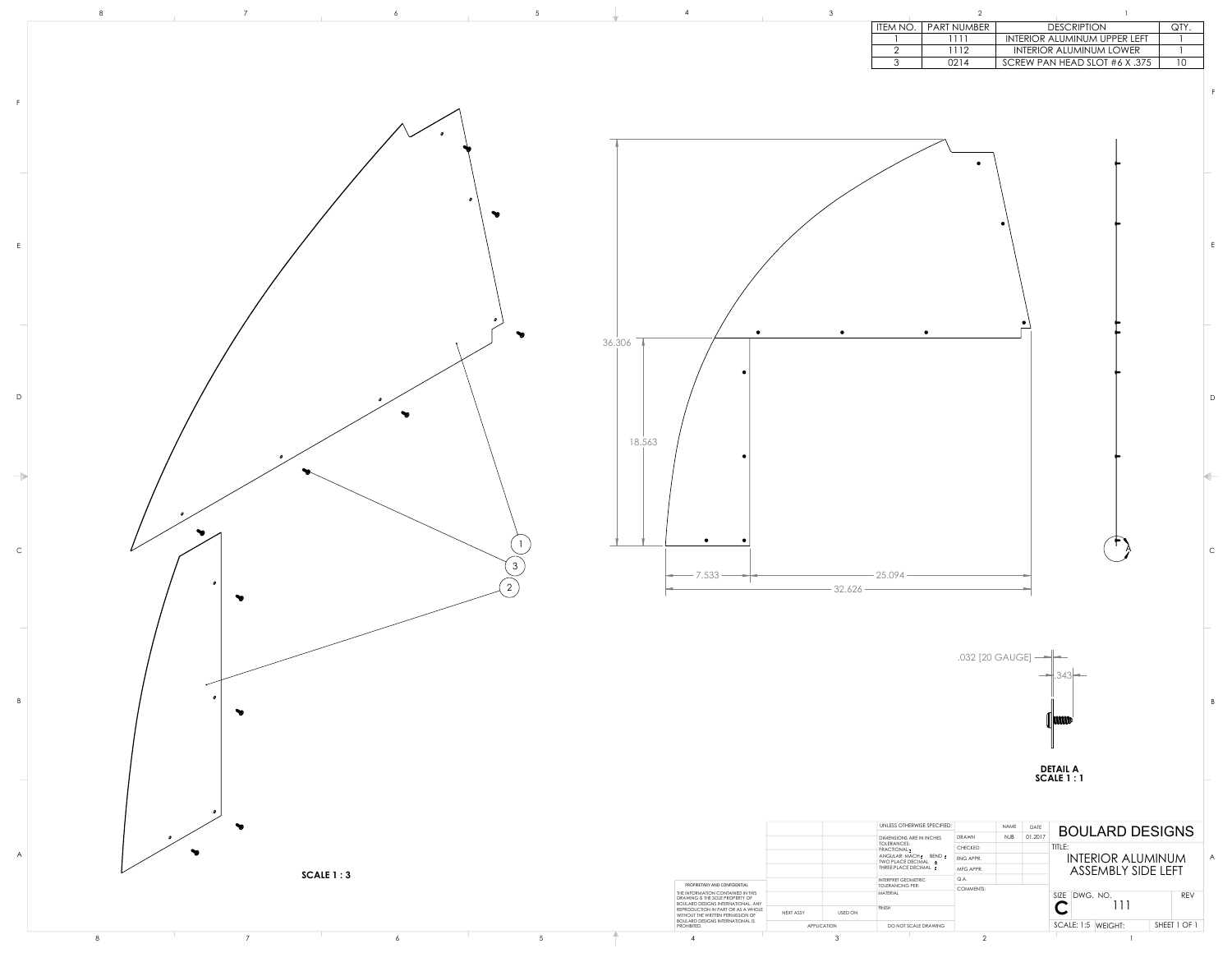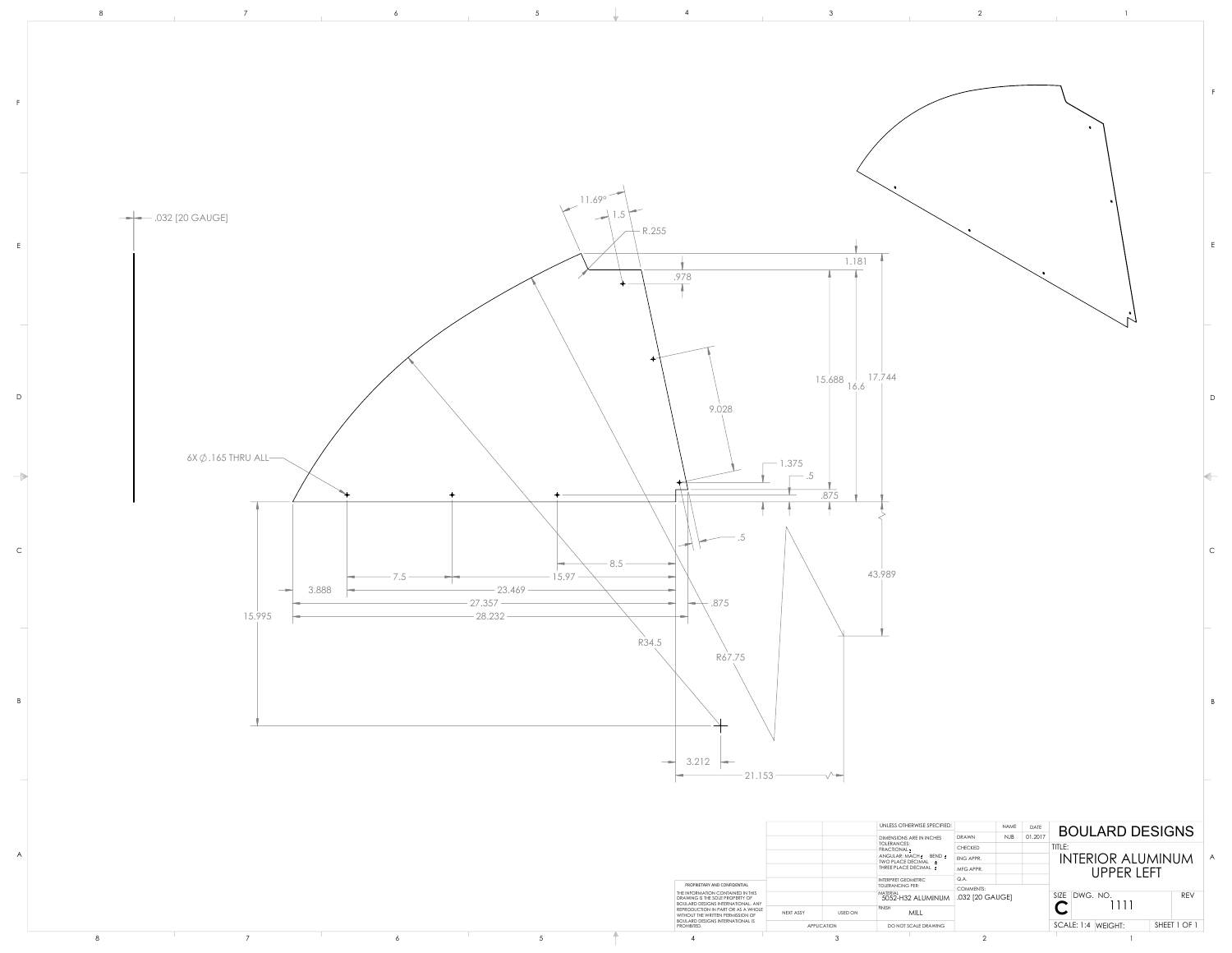

|  |  |                                                                                                                   |                             | <b>DIMENSIONS ARE IN INCHES</b>                                    | DRAWN            | $ 01.201\rangle$<br>NJB | ————————————————————               |
|--|--|-------------------------------------------------------------------------------------------------------------------|-----------------------------|--------------------------------------------------------------------|------------------|-------------------------|------------------------------------|
|  |  |                                                                                                                   |                             | TOLERANCES:<br>$\dagger$ FRACTIONAL $\pm$                          | CHECKED          |                         | TITLE:                             |
|  |  |                                                                                                                   |                             | ANGULAR: MACH + BEND +<br>TWO PLACE DECIMAL                        | ENG APPR.        |                         | INTERIOR ALUMINUM                  |
|  |  |                                                                                                                   |                             | THREE PLACE DECIMAL ±                                              | MFG APPR.        |                         | <b>UPPER LEFT</b>                  |
|  |  |                                                                                                                   |                             | INTERPRET GEOMETRIC                                                | Q.A.             |                         |                                    |
|  |  | PROPRIETARY AND CONFIDENTIAL                                                                                      |                             | TOLERANCING PER:                                                   | <b>COMMENTS:</b> |                         |                                    |
|  |  | THE INFORMATION CONTAINED IN THIS<br>DRAWING IS THE SOLE PROPERTY OF<br><b>BOULARD DESIGNS INTERNATIONAL. ANY</b> |                             | $\frac{\text{MATERIAL}}{\text{5052-H32 ALUMINUM}}$ .032 [20 GAUGE] |                  |                         | REV<br>SIZE DWG. NO.               |
|  |  | REPRODUCTION IN PART OR AS A WHOLE<br>WITHOUT THE WRITTEN PERMISSION OF                                           | <b>USED ON</b><br>NEXT ASSY | <b>FINISH</b><br>MILL                                              |                  |                         | 1111                               |
|  |  | <b>BOULARD DESIGNS INTERNATIONAL IS</b><br>PROHIBITED.                                                            | APPLICATION                 | DO NOT SCALE DRAWING                                               |                  |                         | SHEET 1 OF 1<br>SCALE: 1:4 WEIGHT: |
|  |  |                                                                                                                   |                             |                                                                    |                  |                         |                                    |
|  |  |                                                                                                                   |                             |                                                                    |                  |                         |                                    |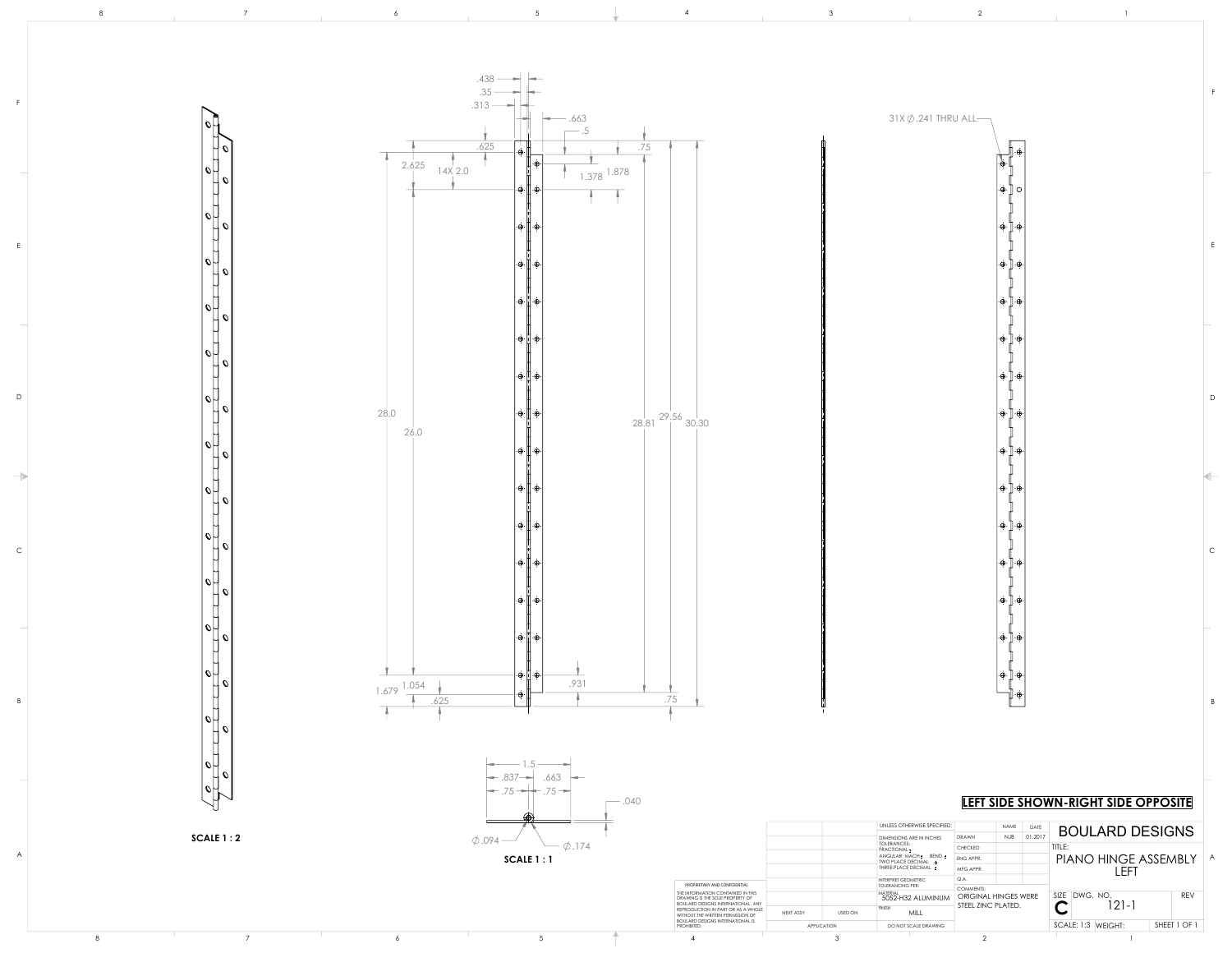D

C

B

E

F

![](_page_3_Figure_0.jpeg)

|           | U 7                                                      |  | $\sim$ .040                                                                                                       |                                                                            |                                                       |                             | LEFT SIDE SHOWN-RIGHT SIDE OPPOSITE |              |  |
|-----------|----------------------------------------------------------|--|-------------------------------------------------------------------------------------------------------------------|----------------------------------------------------------------------------|-------------------------------------------------------|-----------------------------|-------------------------------------|--------------|--|
| SCALE 1:2 |                                                          |  |                                                                                                                   | UNLESS OTHERWISE SPECIFIED:                                                | NAME<br>DATI                                          | <b>BOULARD DESIGNS</b>      |                                     |              |  |
|           | $\phi$ .094 —<br>$\phi$ .174<br>$\overline{\phantom{a}}$ |  |                                                                                                                   | <b>DIMENSIONS ARE IN INCHES</b><br><b>TOLERANCES:</b><br><b>FRACTIONAL</b> | NJB 01.201<br>DRAWN<br>CHECKED                        | TITLE:                      |                                     |              |  |
|           | SCALE 1:1                                                |  |                                                                                                                   | ANGULAR: MACH ± BEND ±<br>TWO PLACE DECIMAL                                | ENG APPR.                                             |                             | PIANO HINGE ASSEMBLY                |              |  |
|           |                                                          |  |                                                                                                                   | THREE PLACE DECIMAL +                                                      | MFG APPR.<br>Q.A.                                     | LEF'                        |                                     |              |  |
|           |                                                          |  | PROPRIETARY AND CONFIDENTIAL                                                                                      |                                                                            | <b>INTERPRET GEOMETRIC</b><br><b>TOLERANCING PER:</b> |                             |                                     |              |  |
|           |                                                          |  | THE INFORMATION CONTAINED IN THIS<br>DRAWING IS THE SOLE PROPERTY OF<br><b>BOULARD DESIGNS INTERNATIONAL. ANY</b> |                                                                            | MATERIAL<br>5052-H32 ALUMINUM                         | <b>ORIGINAL HINGES WERE</b> | SIZE DWG. NO.                       | REV          |  |
|           |                                                          |  | REPRODUCTION IN PART OR AS A WHOLE<br>WITHOUT THE WRITTEN PERMISSION OF                                           | <b>USED ON</b><br>NEXT ASSY                                                | MILL                                                  | STEEL ZINC PLATED.          | $121 - 1$                           |              |  |
|           |                                                          |  | <b>BOULARD DESIGNS INTERNATIONAL IS</b><br>PROHIBITED.                                                            | <b>APPLICATION</b>                                                         | DO NOT SCALE DRAWING                                  |                             | SCALE: 1:3 WEIGHT:                  | SHEET 1 OF 1 |  |
|           |                                                          |  |                                                                                                                   |                                                                            |                                                       |                             |                                     |              |  |

 $\frac{\Pi}{\Pi}$ 

## **LETT SIDE OPPOSITE**

A

 $\cdot \oplus \cdot$  |

l ⊕ l

 $\cdot \oplus \cdot$ 

l ⊕ l

l ⊕ l

.க்.

l ⊕ l

l ⊕ l

.க்.

 $|\cdot \oplus \cdot|$ 

 $\cdot \oplus \cdot$ 

 $|\cdot \oplus \cdot|$ 

 $\Box$ 

 $31X\emptyset.241$  THRU ALL-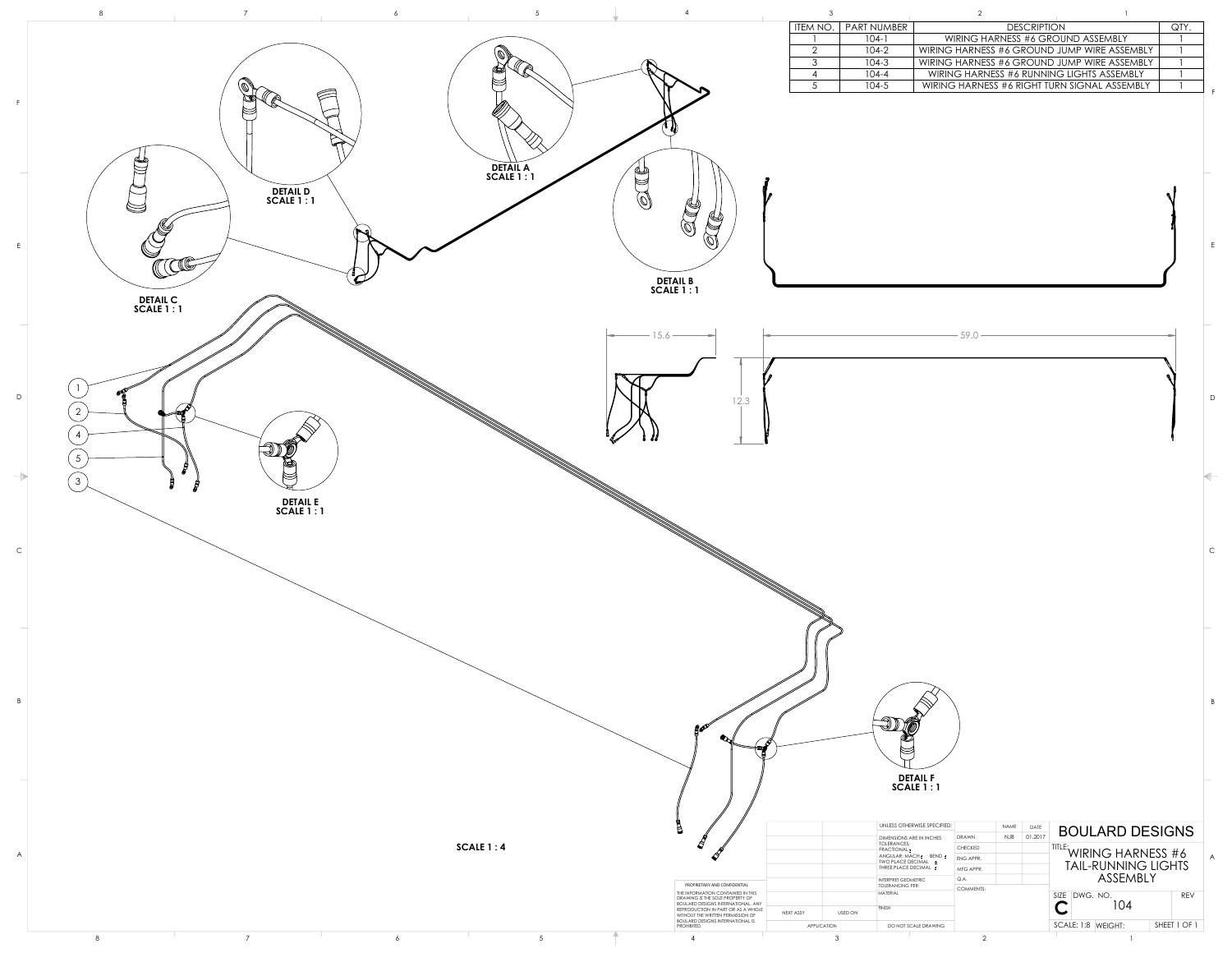![](_page_4_Figure_0.jpeg)

| <b>DESCRIPTION</b><br>ITEM NO.<br>PART NUMBER<br>$104-1$<br>WIRING HARNESS #6 GROUND ASSEMBLY<br>$\overline{2}$<br>$104 - 2$<br>WIRING HARNESS #6 GROUND JUMP WIRE ASSEMBLY<br>3<br>$104-3$<br>WIRING HARNESS #6 GROUND JUMP WIRE ASSEMBLY<br>$104 - 4$<br>WIRING HARNESS #6 RUNNING LIGHTS ASSEMBLY<br>4<br>$\overline{5}$<br>$104 - 5$<br>WIRING HARNESS #6 RIGHT TURN SIGNAL ASSEMBLY | QTY.                       |
|------------------------------------------------------------------------------------------------------------------------------------------------------------------------------------------------------------------------------------------------------------------------------------------------------------------------------------------------------------------------------------------|----------------------------|
|                                                                                                                                                                                                                                                                                                                                                                                          |                            |
|                                                                                                                                                                                                                                                                                                                                                                                          |                            |
|                                                                                                                                                                                                                                                                                                                                                                                          |                            |
|                                                                                                                                                                                                                                                                                                                                                                                          |                            |
|                                                                                                                                                                                                                                                                                                                                                                                          |                            |
|                                                                                                                                                                                                                                                                                                                                                                                          |                            |
|                                                                                                                                                                                                                                                                                                                                                                                          |                            |
|                                                                                                                                                                                                                                                                                                                                                                                          |                            |
|                                                                                                                                                                                                                                                                                                                                                                                          |                            |
|                                                                                                                                                                                                                                                                                                                                                                                          |                            |
|                                                                                                                                                                                                                                                                                                                                                                                          |                            |
|                                                                                                                                                                                                                                                                                                                                                                                          |                            |
|                                                                                                                                                                                                                                                                                                                                                                                          |                            |
|                                                                                                                                                                                                                                                                                                                                                                                          |                            |
|                                                                                                                                                                                                                                                                                                                                                                                          |                            |
| <b>DETAIL B</b>                                                                                                                                                                                                                                                                                                                                                                          |                            |
| <b>SCALE 1:1</b>                                                                                                                                                                                                                                                                                                                                                                         |                            |
|                                                                                                                                                                                                                                                                                                                                                                                          |                            |
| 59.0                                                                                                                                                                                                                                                                                                                                                                                     |                            |
|                                                                                                                                                                                                                                                                                                                                                                                          |                            |
|                                                                                                                                                                                                                                                                                                                                                                                          |                            |
|                                                                                                                                                                                                                                                                                                                                                                                          |                            |
| 12.3                                                                                                                                                                                                                                                                                                                                                                                     |                            |
|                                                                                                                                                                                                                                                                                                                                                                                          |                            |
|                                                                                                                                                                                                                                                                                                                                                                                          |                            |
|                                                                                                                                                                                                                                                                                                                                                                                          |                            |
|                                                                                                                                                                                                                                                                                                                                                                                          |                            |
|                                                                                                                                                                                                                                                                                                                                                                                          |                            |
|                                                                                                                                                                                                                                                                                                                                                                                          |                            |
|                                                                                                                                                                                                                                                                                                                                                                                          |                            |
|                                                                                                                                                                                                                                                                                                                                                                                          |                            |
|                                                                                                                                                                                                                                                                                                                                                                                          |                            |
|                                                                                                                                                                                                                                                                                                                                                                                          |                            |
|                                                                                                                                                                                                                                                                                                                                                                                          |                            |
|                                                                                                                                                                                                                                                                                                                                                                                          |                            |
|                                                                                                                                                                                                                                                                                                                                                                                          |                            |
|                                                                                                                                                                                                                                                                                                                                                                                          |                            |
|                                                                                                                                                                                                                                                                                                                                                                                          |                            |
|                                                                                                                                                                                                                                                                                                                                                                                          |                            |
|                                                                                                                                                                                                                                                                                                                                                                                          |                            |
|                                                                                                                                                                                                                                                                                                                                                                                          |                            |
|                                                                                                                                                                                                                                                                                                                                                                                          |                            |
| <b>gov</b>                                                                                                                                                                                                                                                                                                                                                                               |                            |
| $\bullet$<br>ℌ<br>쮑                                                                                                                                                                                                                                                                                                                                                                      |                            |
|                                                                                                                                                                                                                                                                                                                                                                                          |                            |
| <b>DETAIL F</b>                                                                                                                                                                                                                                                                                                                                                                          |                            |
| <b>SCALE 1:1</b>                                                                                                                                                                                                                                                                                                                                                                         |                            |
|                                                                                                                                                                                                                                                                                                                                                                                          |                            |
| j<br>UNLESS OTHERWISE SPECIFIED:<br>NAME<br>DATE                                                                                                                                                                                                                                                                                                                                         | <b>BOULARD DESIGNS</b>     |
|                                                                                                                                                                                                                                                                                                                                                                                          |                            |
| 01.2017<br>J<br><b>NJB</b><br><b>DRAWN</b><br><b>DIMENSIONS ARE IN INCHES</b><br>TOLERANCES:                                                                                                                                                                                                                                                                                             |                            |
| TITLE: WIRING HARNESS #6<br>CHECKED<br>FRACTIONAL <sup>+</sup><br>ANGULAR: MACH ± BEND ±<br>ENG APPR.<br>TWO PLACE DECIMAL ±                                                                                                                                                                                                                                                             |                            |
| THREE PLACE DECIMAL ±<br>MFG APPR.<br>Q.A.<br>INTERPRET GEOMETRIC                                                                                                                                                                                                                                                                                                                        | <b>TAIL-RUNNING LIGHTS</b> |
| PROPRIETARY AND CONFIDENTIAL<br><b>TOLERANCING PER:</b><br><b>COMMENTS:</b><br><b>MATERIAL</b><br>SIZE DWG. NO.                                                                                                                                                                                                                                                                          | ASSEMBLY<br><b>REV</b>     |
| THE INFORMATION CONTAINED IN THIS<br>DRAWING IS THE SOLE PROPERTY OF<br>BOULARD DESIGNS INTERNATIONAL. ANY<br><b>FINISH</b><br>REPRODUCTION IN PART OR AS A WHOLE<br>USED ON<br>NEXT ASSY<br>WITHOUT THE WRITTEN PERMISSION OF                                                                                                                                                           | 104                        |

 $8$  and  $7$  6 5  $7$  6 5 4 3 2 1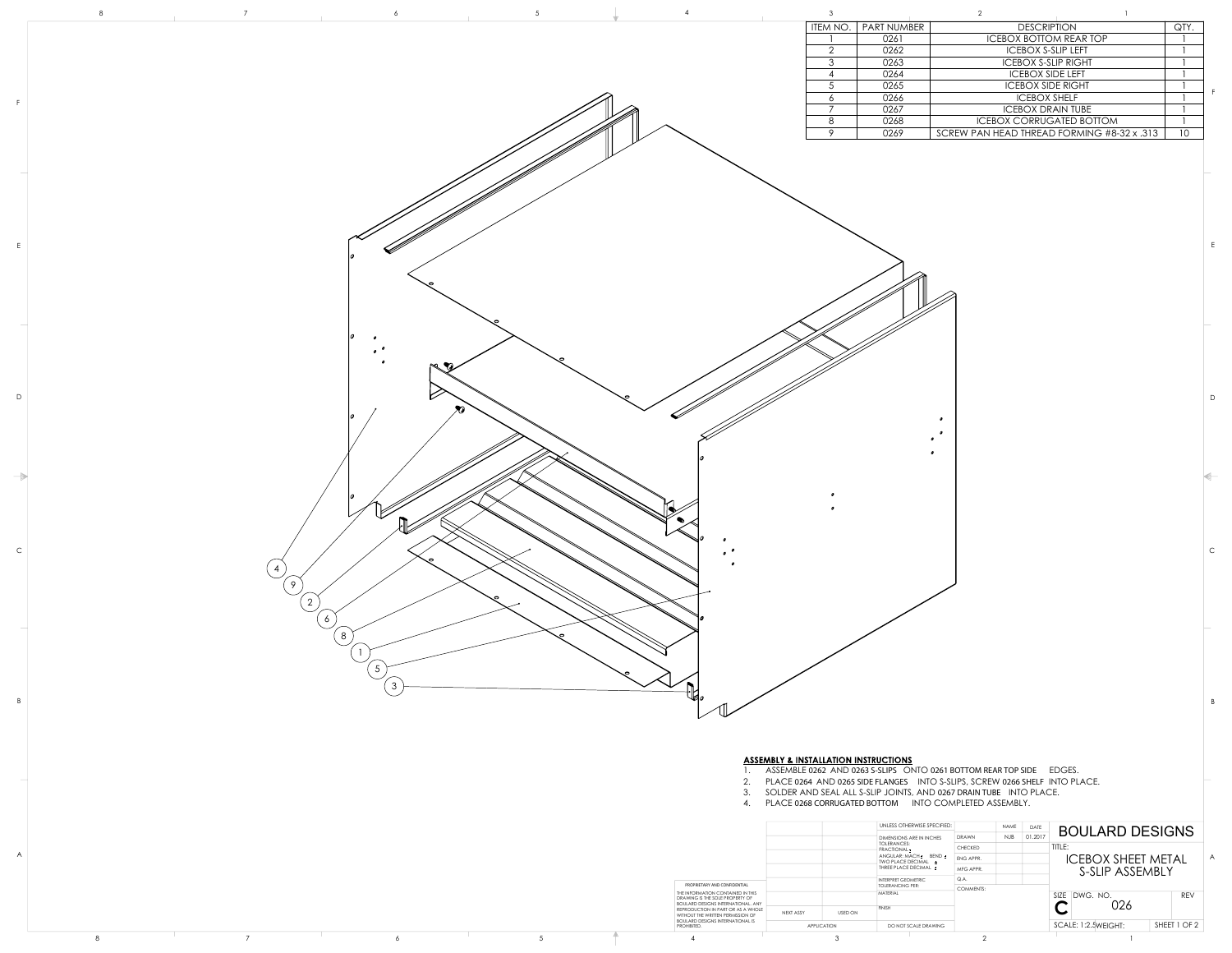- 1. ASSEMBLE **0262** AND **0263 S-SLIPS** ONTO **0261 BOTTOM REAR TOP SIDE** EDGES.
- 2. PLACE **0264** AND **0265 SIDE FLANGES** INTO S-SLIPS, SCREW **0266 SHELF** INTO PLACE.

 $\bullet$ 

- 3. SOLDER AND SEAL ALL S-SLIP JOINTS, AND **0267 DRAIN TUBE** INTO PLACE.
- 4. PLACE **0268 CORRUGATED BOTTOM** INTO COMPLETED ASSEMBLY.

| ITEM NO. | <b>PART NUMBER</b> | <b>DESCRIPTION</b>                         | QTY. |
|----------|--------------------|--------------------------------------------|------|
|          | 0261               | <b>ICEBOX BOTTOM REAR TOP</b>              |      |
| ⌒        | 0262               | <b>ICEBOX S-SLIP LEFT</b>                  |      |
| 3        | 0263               | <b>ICEBOX S-SLIP RIGHT</b>                 |      |
|          | 0264               | <b>ICEBOX SIDE LEFT</b>                    |      |
|          | 0265               | <b>ICEBOX SIDE RIGHT</b>                   |      |
| 6        | 0266               | <b>ICEBOX SHELF</b>                        |      |
|          | 0267               | <b>ICEBOX DRAIN TUBE</b>                   |      |
| 8        | 0268               | <b>ICEBOX CORRUGATED BOTTOM</b>            |      |
|          | 0269               | SCREW PAN HEAD THREAD FORMING #8-32 x .313 | 10   |

![](_page_5_Picture_0.jpeg)

D

C

B

E

F

|  |  |                                                                                                                      |                    | UNLESS OTHERWISE SPECIFIED:                 | NAME           | <b>DATE</b> | <b>BOULARD DESIGNS</b>    |              |
|--|--|----------------------------------------------------------------------------------------------------------------------|--------------------|---------------------------------------------|----------------|-------------|---------------------------|--------------|
|  |  |                                                                                                                      |                    | <b>DIMENSIONS ARE IN INCHES</b>             | DRAWN          | NJB 01.2017 |                           |              |
|  |  |                                                                                                                      |                    | TOLERANCES:<br><b>FRACTIONAL</b>            | <b>CHECKED</b> |             | TITLE:                    |              |
|  |  |                                                                                                                      |                    | ANGULAR: MACH ± BEND ±<br>TWO PLACE DECIMAL | ENG APPR.      |             | <b>ICEBOX SHEET METAL</b> |              |
|  |  |                                                                                                                      |                    | THREE PLACE DECIMAL:                        | MFG APPR.      |             | S-SLIP ASSEMBLY           |              |
|  |  |                                                                                                                      |                    | INTERPRET GEOMETRIC                         | Q.A.           |             |                           |              |
|  |  | PROPRIETARY AND CONFIDENTIAL                                                                                         |                    | <b>TOLERANCING PER:</b>                     | COMMENTS:      |             |                           |              |
|  |  | THE INFORMATION CONTAINED IN THIS<br>DRAWING IS THE SOLE PROPERTY OF                                                 |                    | MATERIAL                                    |                |             | SIZE DWG. NO.             | REV          |
|  |  | <b>BOULARD DESIGNS INTERNATIONAL. ANY</b><br>REPRODUCTION IN PART OR AS A WHOLE<br>WITHOUT THE WRITTEN PERMISSION OF | NEXT ASSY          | <b>FINISH</b><br><b>USED ON</b>             |                |             | 026<br>$\checkmark$       |              |
|  |  | <b>BOULARD DESIGNS INTERNATIONAL IS</b><br>PROHIBITED.                                                               | <b>APPLICATION</b> | DO NOT SCALE DRAWING                        |                |             | SCALE: 1:2.5WEIGHT:       | SHEET 1 OF 2 |
|  |  |                                                                                                                      |                    |                                             |                |             |                           |              |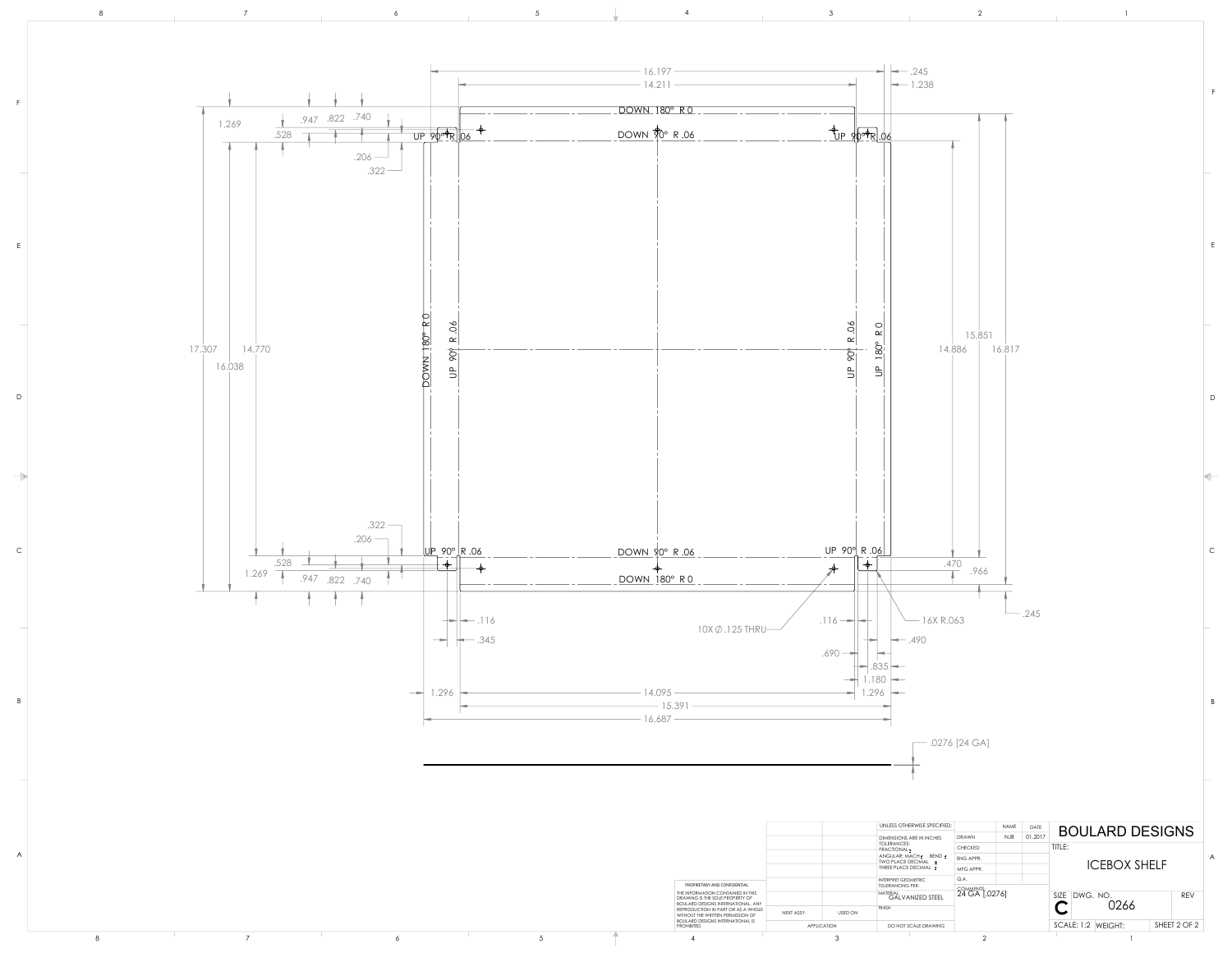A

![](_page_6_Figure_0.jpeg)

|  |  |                                                                                                                   |                             | UNLESS OTHERWISE SPECIFIED:                             | NAME                       | DATI        |                                      |                |
|--|--|-------------------------------------------------------------------------------------------------------------------|-----------------------------|---------------------------------------------------------|----------------------------|-------------|--------------------------------------|----------------|
|  |  |                                                                                                                   |                             | <b>DIMENSIONS ARE IN INCHES</b>                         | DRAWN                      | NJB 01.2017 | <b>BOULARD DESIGNS</b>               |                |
|  |  |                                                                                                                   |                             | TOLERANCES:<br>$\dashv$ FRACTIONAL $\underline{\star}$  | <b>CHECKED</b>             |             | TITLE:                               |                |
|  |  |                                                                                                                   |                             | $AKGULAR: MACH_t = BEND_t$<br>TWO PLACE DECIMAL         | <b>ENG APPR.</b>           |             |                                      | $\overline{A}$ |
|  |  |                                                                                                                   |                             | THREE PLACE DECIMAL ±                                   | MFG APPR.                  |             | <b>ICEBOX SHELF</b>                  |                |
|  |  | PROPRIETARY AND CONFIDENTIAL                                                                                      |                             | INTERPRET GEOMETRIC                                     | Q.A.                       |             |                                      |                |
|  |  | THE INFORMATION CONTAINED IN THIS<br>DRAWING IS THE SOLE PROPERTY OF<br><b>BOULARD DESIGNS INTERNATIONAL. ANY</b> |                             | <b>TOLERANCING PER:</b><br>MATERIAL<br>GALVANIZED STEEL | COMMENTS:<br>24 GA [.0276] |             | SIZE DWG. NO.                        | <b>REV</b>     |
|  |  | REPRODUCTION IN PART OR AS A WHOLE<br>WITHOUT THE WRITTEN PERMISSION OF                                           | NEXT ASSY<br><b>USED ON</b> | <b>FINISH</b>                                           |                            |             | 0266<br>$\blacktriangleright$        |                |
|  |  | <b>BOULARD DESIGNS INTERNATIONAL IS</b><br>PROHIBITED.                                                            | APPLICATION                 | DO NOT SCALE DRAWING                                    |                            |             | SHEET 2 OF 2<br>$SCALE: 1:2$ WEIGHT: |                |
|  |  |                                                                                                                   |                             |                                                         |                            |             |                                      |                |